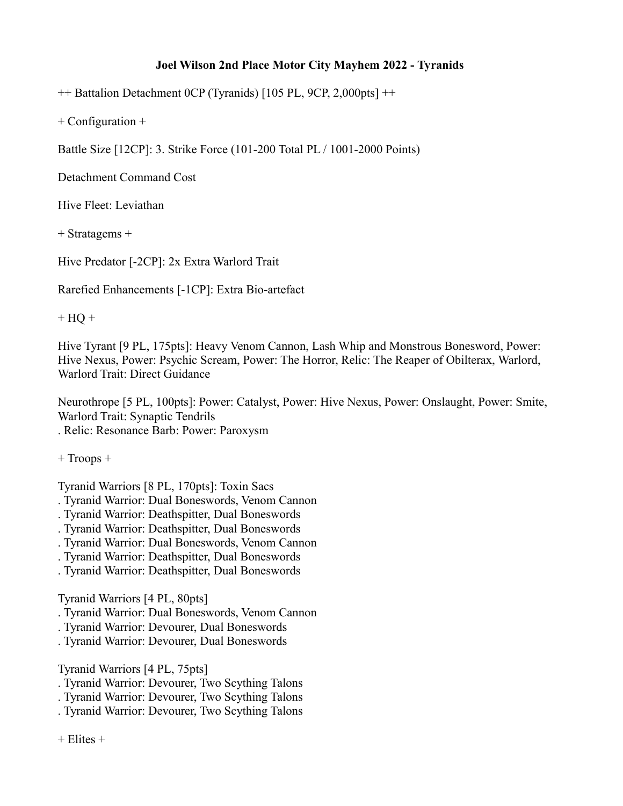## **Joel Wilson 2nd Place Motor City Mayhem 2022 - Tyranids**

++ Battalion Detachment 0CP (Tyranids) [105 PL, 9CP, 2,000pts] ++

+ Configuration +

Battle Size [12CP]: 3. Strike Force (101-200 Total PL / 1001-2000 Points)

Detachment Command Cost

Hive Fleet: Leviathan

+ Stratagems +

Hive Predator [-2CP]: 2x Extra Warlord Trait

Rarefied Enhancements [-1CP]: Extra Bio-artefact

 $+$  HQ  $+$ 

Hive Tyrant [9 PL, 175pts]: Heavy Venom Cannon, Lash Whip and Monstrous Bonesword, Power: Hive Nexus, Power: Psychic Scream, Power: The Horror, Relic: The Reaper of Obilterax, Warlord, Warlord Trait: Direct Guidance

Neurothrope [5 PL, 100pts]: Power: Catalyst, Power: Hive Nexus, Power: Onslaught, Power: Smite, Warlord Trait: Synaptic Tendrils

. Relic: Resonance Barb: Power: Paroxysm

+ Troops +

Tyranid Warriors [8 PL, 170pts]: Toxin Sacs

- . Tyranid Warrior: Dual Boneswords, Venom Cannon
- . Tyranid Warrior: Deathspitter, Dual Boneswords
- . Tyranid Warrior: Deathspitter, Dual Boneswords
- . Tyranid Warrior: Dual Boneswords, Venom Cannon
- . Tyranid Warrior: Deathspitter, Dual Boneswords
- . Tyranid Warrior: Deathspitter, Dual Boneswords

Tyranid Warriors [4 PL, 80pts]

- . Tyranid Warrior: Dual Boneswords, Venom Cannon
- . Tyranid Warrior: Devourer, Dual Boneswords
- . Tyranid Warrior: Devourer, Dual Boneswords

Tyranid Warriors [4 PL, 75pts]

- . Tyranid Warrior: Devourer, Two Scything Talons
- . Tyranid Warrior: Devourer, Two Scything Talons
- . Tyranid Warrior: Devourer, Two Scything Talons

 $+$  Elites  $+$